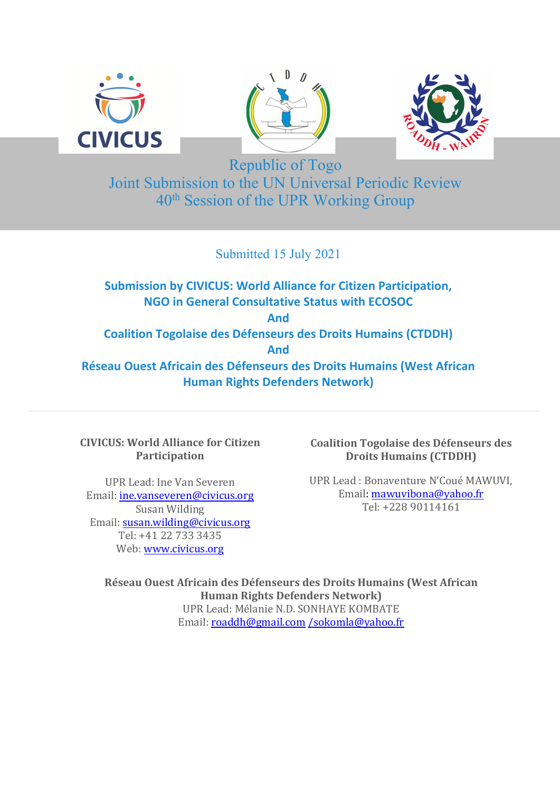





Republic of Togo Joint Submission to the UN Universal Periodic Review 40th Session of the UPR Working Group

Submitted 15 July 2021

**Submission by CIVICUS: World Alliance for Citizen Participation, NGO in General Consultative Status with ECOSOC And Coalition Togolaise des Défenseurs des Droits Humains (CTDDH) And Réseau Ouest Africain des Défenseurs des Droits Humains (West African Human Rights Defenders Network)**

**CIVICUS: World Alliance for Citizen Participation**

UPR Lead: Ine Van Severen Email: [ine.vanseveren@civicus.org](mailto:ine.vanseveren@civicus.org) Susan Wilding Email: [susan.wilding@civicus.org](mailto:susan.wilding@civicus.org) Tel: +41 22 733 3435 Web: [www.civicus.org](http://www.civicus.org)

**Coalition Togolaise des Défenseurs des Droits Humains (CTDDH)**

UPR Lead : Bonaventure N'Coué MAWUVI, nian. <u>mawuvibona@yahoo.nr</u><br>Tel: +228 90114161 Email: [mawuvibona@yahoo.fr](mailto:mawuvibona@yahoo.fr)

**Réseau Ouest Africain des Défenseurs des Droits Humains (West African Human Rights Defenders Network)** UPR Lead: Mélanie N.D. SONHAYE KOMBATE Email: [roaddh@gmail.com](mailto:roaddh@gmail.com) [/sokomla@yahoo.fr](mailto:/sokomla@yahoo.fr)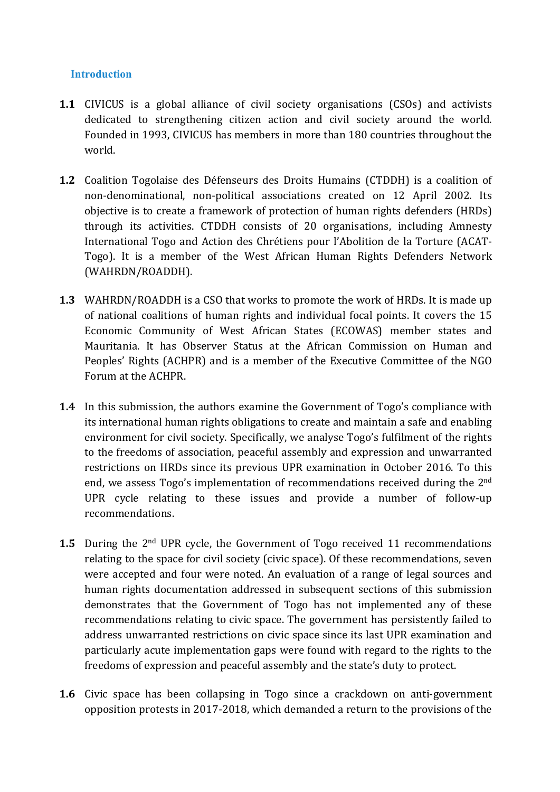#### **Introduction**

- **1.1** CIVICUS is <sup>a</sup> global alliance of civil society organisations (CSOs) and activists dedicated to strengthening citizen action and civil society around the world. Founded in 1993, CIVICUS has members in more than 180 countries throughout the world.
- **1.2** Coalition Togolaise des Défenseurs des Droits Humains (CTDDH) is <sup>a</sup> coalition of non-denominational, non-political associations created on 12 April 2002. Its objective is to create <sup>a</sup> framework of protection of human rights defenders (HRDs) through its activities. CTDDH consists of 20 organisations, including Amnesty International Togo and Action des Chrétiens pour l'Abolition de la Torture (ACAT-Togo). It is <sup>a</sup> member of the West African Human Rights Defenders Network (WAHRDN/ROADDH).
- **1.3** WAHRDN/ROADDH is <sup>a</sup> CSO that works to promote the work of HRDs. It is made up of national coalitions of human rights and individual focal points. It covers the 15 Economic Community of West African States (ECOWAS) member states and Mauritania. It has Observer Status at the African Commission on Human and Peoples' Rights (ACHPR) and is <sup>a</sup> member of the Executive Committee of the NGO Forum at the ACHPR.
- **1.4** In this submission, the authors examine the Government of Togo'<sup>s</sup> compliance with its international human rights obligations to create and maintain <sup>a</sup> safe and enabling environment for civil society. Specifically, we analyse Togo'<sup>s</sup> fulfilment of the rights to the freedoms of association, peaceful assembly and expression and unwarranted restrictions on HRDs since its previous UPR examination in October 2016. To this end, we assess Togo's implementation of recommendations received during the 2<sup>nd</sup> UPR cycle relating to these issues and provide <sup>a</sup> number of follow-up recommendations.
- **1.5** During the 2<sup>nd</sup> UPR cycle, the Government of Togo received 11 recommendations relating to the space for civil society (civic space). Of these recommendations, seven were accepted and four were noted. An evaluation of <sup>a</sup> range of legal sources and human rights documentation addressed in subsequent sections of this submission demonstrates that the Government of Togo has not implemented any of these recommendations relating to civic space. The governmen<sup>t</sup> has persistently failed to address unwarranted restrictions on civic space since its last UPR examination and particularly acute implementation gaps were found with regard to the rights to the freedoms of expression and peaceful assembly and the state'<sup>s</sup> duty to protect.
- **1.6** Civic space has been collapsing in Togo since <sup>a</sup> crackdown on anti-government opposition protests in 2017-2018, which demanded <sup>a</sup> return to the provisions of the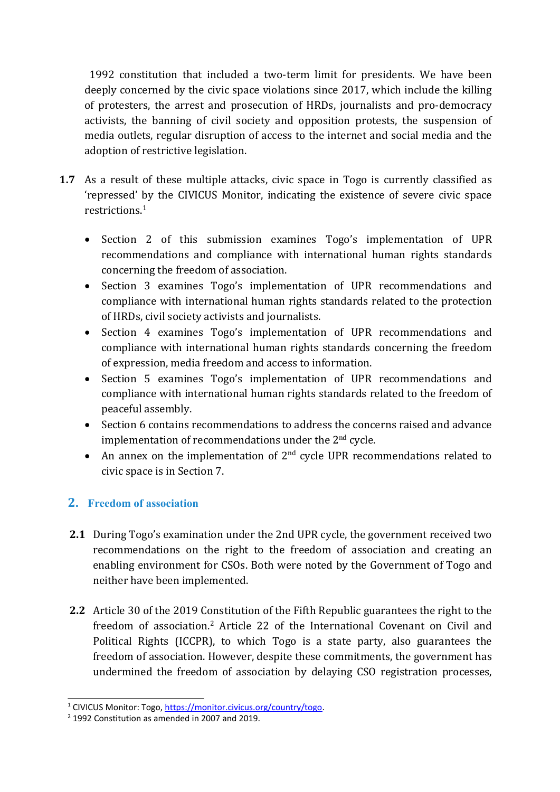1992 constitution that included <sup>a</sup> two-term limit for presidents. We have been deeply concerned by the civic space violations since 2017, which include the killing of protesters, the arrest and prosecution of HRDs, journalists and pro-democracy activists, the banning of civil society and opposition protests, the suspension of media outlets, regular disruption of access to the internet and social media and the adoption of restrictive legislation.

- **1.7** As <sup>a</sup> result of these multiple attacks, civic space in Togo is currently classified as 'repressed' by the CIVICUS Monitor, indicating the existence of severe civic space restrictions. 1
	- Section 2 of this submission examines Togo's implementation of UPR recommendations and compliance with international human rights standards concerning the freedom of association.
	- Section 3 examines Togo'<sup>s</sup> implementation of UPR recommendations and compliance with international human rights standards related to the protection of HRDs, civil society activists and journalists.
	- Section 4 examines Togo'<sup>s</sup> implementation of UPR recommendations and compliance with international human rights standards concerning the freedom of expression, media freedom and access to information.
	- Section 5 examines Togo's implementation of UPR recommendations and compliance with international human rights standards related to the freedom of peaceful assembly.
	- Section 6 contains recommendations to address the concerns raised and advance implementation of recommendations under the 2<sup>nd</sup> cycle.
	- An annex on the implementation of  $2<sup>nd</sup>$  cycle UPR recommendations related to civic space is in Section 7.

# **2. Freedom of association**

- **2.1** During Togo'<sup>s</sup> examination under the 2nd UPR cycle, the governmen<sup>t</sup> received two recommendations on the right to the freedom of association and creating an enabling environment for CSOs. Both were noted by the Government of Togo and neither have been implemented.
- **2.2** Article 30 of the 2019 Constitution of the Fifth Republic guarantees the right to the freedom of association.<sup>2</sup> Article 22 of the International Covenant on Civil and Political Rights (ICCPR), to which Togo is <sup>a</sup> state party, also guarantees the freedom of association. However, despite these commitments, the governmen<sup>t</sup> has undermined the freedom of association by delaying CSO registration processes,

<sup>&</sup>lt;sup>1</sup> CIVICUS Monitor: Togo, [https://monitor.civicus.org/country/togo](https://monitor.civicus.org/country/togo/).

<sup>2</sup> 1992 Constitution as amended in 2007 and 2019.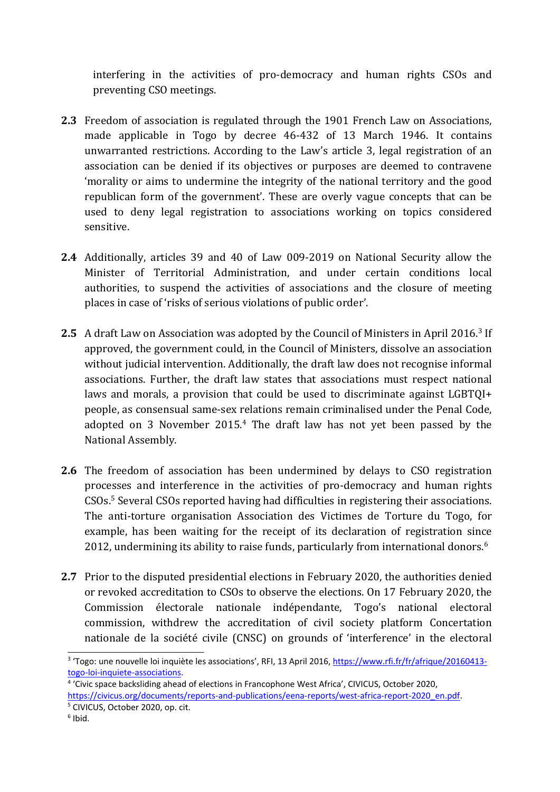interfering in the activities of pro-democracy and human rights CSOs and preventing CSO meetings.

- **2.3** Freedom of association is regulated through the 1901 French Law on Associations, made applicable in Togo by decree 46-432 of 13 March 1946. It contains unwarranted restrictions. According to the Law'<sup>s</sup> article 3, legal registration of an association can be denied if its objectives or purposes are deemed to contravene 'morality or aims to undermine the integrity of the national territory and the good republican form of the government'. These are overly vague concepts that can be used to deny legal registration to associations working on topics considered sensitive.
- **2.4** Additionally, articles 39 and 40 of Law 009-2019 on National Security allow the Minister of Territorial Administration, and under certain conditions local authorities, to suspend the activities of associations and the closure of meeting places in case of 'risks of serious violations of public order'.
- **2.5** A draft Law on Association was adopted by the Council of Ministers in April 2016. 3 If approved, the governmen<sup>t</sup> could, in the Council of Ministers, dissolve an association without judicial intervention. Additionally, the draft law does not recognise informal associations. Further, the draft law states that associations must respect national laws and morals, <sup>a</sup> provision that could be used to discriminate against LGBTQI+ people, as consensual same-sex relations remain criminalised under the Penal Code, adopted on 3 November 2015. 4 The draft law has not yet been passed by the National Assembly.
- **2.6** The freedom of association has been undermined by delays to CSO registration processes and interference in the activities of pro-democracy and human rights CSOs. 5 Several CSOs reported having had difficulties in registering their associations. The anti-torture organisation Association des Victimes de Torture du Togo, for example, has been waiting for the receipt of its declaration of registration since 2012, undermining its ability to raise funds, particularly from international donors. $^6$
- **2.7** Prior to the disputed presidential elections in February 2020, the authorities denied or revoked accreditation to CSOs to observe the elections. On 17 February 2020, the Commission électorale nationale indépendante, Togo'<sup>s</sup> national electoral commission, withdrew the accreditation of civil society platform Concertation nationale de la société civile (CNSC) on grounds of 'interference' in the electoral

<sup>&</sup>lt;sup>3</sup> 'Togo: une nouvelle loi inquiète les associations', RFI, 13 April 2016, [https://www.rfi.fr/fr/afrique/20160413](https://www.rfi.fr/fr/afrique/20160413-togo-loi-inquiete-associations) [togo-loi-inquiete-associations](https://www.rfi.fr/fr/afrique/20160413-togo-loi-inquiete-associations).

<sup>4</sup> 'Civic space backsliding ahead of elections in Francophone West Africa', CIVICUS, October 2020, [https://civicus.org/documents/reports-and-publications/eena-reports/west-africa-report-2020\\_en.pdf](https://civicus.org/documents/reports-and-publications/eena-reports/west-africa-report-2020_en.pdf). 5 CIVICUS, October 2020, op. cit.

 $6$  Ibid.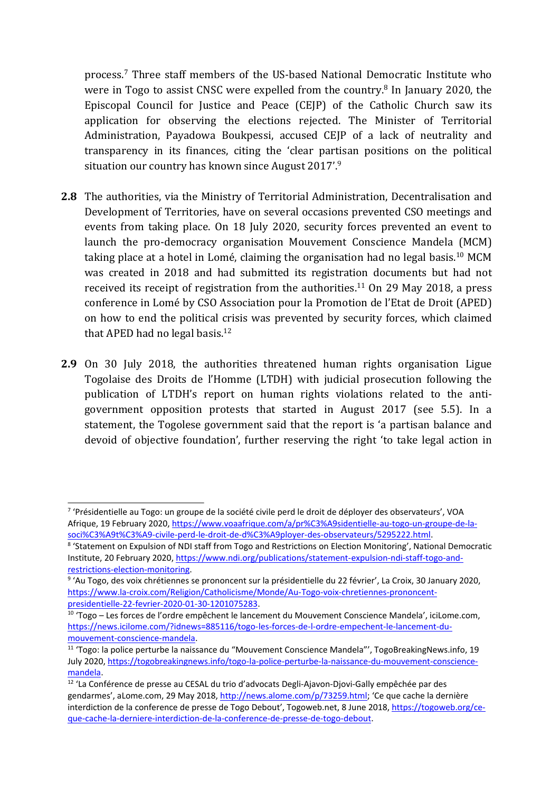process. 7 Three staff members of the US-based National Democratic Institute who were in Togo to assist CNSC were expelled from the country.<sup>8</sup> In January 2020, the Episcopal Council for Justice and Peace (CEJP) of the Catholic Church saw its application for observing the elections rejected. The Minister of Territorial Administration, Payadowa Boukpessi, accused CEJP of <sup>a</sup> lack of neutrality and transparency in its finances, citing the 'clear partisan positions on the political situation our country has known since August 2017'. 9

- **2.8** The authorities, via the Ministry of Territorial Administration, Decentralisation and Development of Territories, have on several occasions prevented CSO meetings and events from taking place. On 18 July 2020, security forces prevented an event to launch the pro-democracy organisation Mouvement Conscience Mandela (MCM) taking place at <sup>a</sup> hotel in Lomé, claiming the organisation had no legal basis. <sup>10</sup> MCM was created in 2018 and had submitted its registration documents but had not received its receipt of registration from the authorities.<sup>11</sup> On 29 May 2018, a press conference in Lomé by CSO Association pour la Promotion de l'Etat de Droit (APED) on how to end the political crisis was prevented by security forces, which claimed that APED had no legal basis. 12
- **2.9** On 30 July 2018, the authorities threatened human rights organisation Ligue Togolaise des Droits de l'Homme (LTDH) with judicial prosecution following the publication of LTDH'<sup>s</sup> report on human rights violations related to the antigovernmen<sup>t</sup> opposition protests that started in August 2017 (see 5.5). In <sup>a</sup> statement, the Togolese governmen<sup>t</sup> said that the report is '<sup>a</sup> partisan balance and devoid of objective foundation', further reserving the right 'to take legal action in

<sup>&</sup>lt;sup>7</sup> 'Présidentielle au Togo: un groupe de la société civile perd le droit de déployer des observateurs', VOA Afrique, 19 February 2020, [https://www.voaafrique.com/a/pr%C3%A9sidentielle-au-togo-un-groupe-de-la](https://www.voaafrique.com/a/pr%C3%A9sidentielle-au-togo-un-groupe-de-la-soci%C3%A9t%C3%A9-civile-perd-le-droit-de-d%C3%A9ployer-des-observateurs/5295222.html)[soci%C3%A9t%C3%A9-civile-perd-le-droit-de-d%C3%A9ployer-des-observateurs/5295222.html](https://www.voaafrique.com/a/pr%C3%A9sidentielle-au-togo-un-groupe-de-la-soci%C3%A9t%C3%A9-civile-perd-le-droit-de-d%C3%A9ployer-des-observateurs/5295222.html).

<sup>8</sup> 'Statement on Expulsion of NDI staff from Togo and Restrictions on Election Monitoring', National Democratic Institute, 20 February 2020, [https://www.ndi.org/publications/statement-expulsion-ndi-staff-togo-and](https://www.ndi.org/publications/statement-expulsion-ndi-staff-togo-and-restrictions-election-monitoring)[restrictions-election-monitoring](https://www.ndi.org/publications/statement-expulsion-ndi-staff-togo-and-restrictions-election-monitoring).

<sup>9</sup> 'Au Togo, des voix chrétiennes se prononcent sur la présidentielle du 22 février', La Croix, 30 January 2020, [https://www.la-croix.com/Religion/Catholicisme/Monde/Au-Togo-voix-chretiennes-prononcent](https://www.la-croix.com/Religion/Catholicisme/Monde/Au-Togo-voix-chretiennes-prononcent-presidentielle-22-fevrier-2020-01-30-1201075283)[presidentielle-22-fevrier-2020-01-30-1201075283](https://www.la-croix.com/Religion/Catholicisme/Monde/Au-Togo-voix-chretiennes-prononcent-presidentielle-22-fevrier-2020-01-30-1201075283).

 $^{10}$  'Togo – Les forces de l'ordre empêchent le lancement du Mouvement Conscience Mandela', iciLome.com, [https://news.icilome.com/?idnews=885116/togo-les-forces-de-l-ordre-empechent-le-lancement-du](https://news.icilome.com/?idnews=885116/togo-les-forces-de-l-ordre-empechent-le-lancement-du-mouvement-conscience-mandela)[mouvement-conscience-mandela](https://news.icilome.com/?idnews=885116/togo-les-forces-de-l-ordre-empechent-le-lancement-du-mouvement-conscience-mandela).

<sup>11</sup> 'Togo: la police perturbe la naissance du "Mouvement Conscience Mandela"', TogoBreakingNews.info, 19 July 2020, [https://togobreakingnews.info/togo-la-police-perturbe-la-naissance-du-mouvement-conscience](https://togobreakingnews.info/togo-la-police-perturbe-la-naissance-du-mouvement-conscience-mandela/?print=print)[mandela](https://togobreakingnews.info/togo-la-police-perturbe-la-naissance-du-mouvement-conscience-mandela/?print=print).

<sup>&</sup>lt;sup>12</sup> 'La Conférence de presse au CESAL du trio d'advocats Degli-Ajavon-Djovi-Gally empêchée par des gendarmes', aLome.com, 29 May 2018, [http://news.alome.com/p/73259.html;](http://news.alome.com/p/73259.html) 'Ce que cache la dernière interdiction de la conference de presse de Togo Debout', Togoweb.net, 8 June 2018, [https://togoweb.org/ce](https://togoweb.org/ce-que-cache-la-derniere-interdiction-de-la-conference-de-presse-de-togo-debout/)[que-cache-la-derniere-interdiction-de-la-conference-de-presse-de-togo-debout](https://togoweb.org/ce-que-cache-la-derniere-interdiction-de-la-conference-de-presse-de-togo-debout/).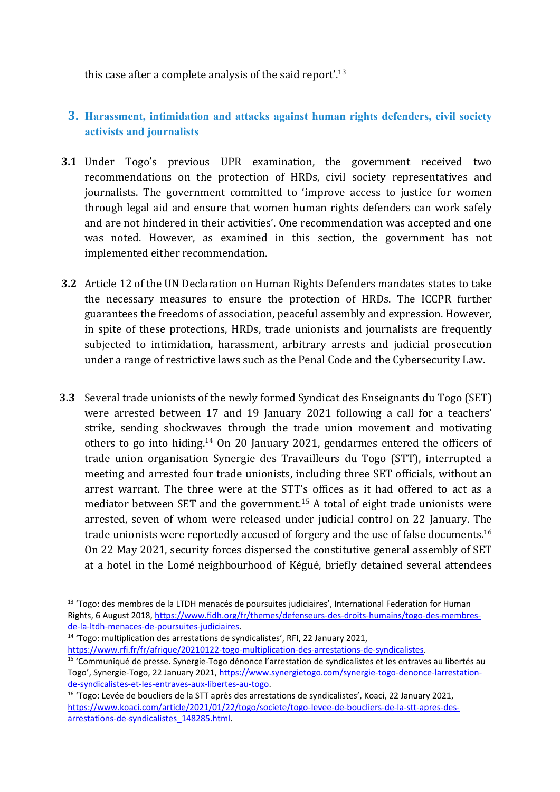this case after a complete analysis of the said report'.<sup>13</sup>

## **3. Harassment, intimidation and attacks against human rights defenders, civil society activists and journalists**

- **3.1** Under Togo'<sup>s</sup> previous UPR examination, the governmen<sup>t</sup> received two recommendations on the protection of HRDs, civil society representatives and journalists. The governmen<sup>t</sup> committed to 'improve access to justice for women through legal aid and ensure that women human rights defenders can work safely and are not hindered in their activities'. One recommendation was accepted and one was noted. However, as examined in this section, the governmen<sup>t</sup> has not implemented either recommendation.
- **3.2** Article 12 of the UN Declaration on Human Rights Defenders mandates states to take the necessary measures to ensure the protection of HRDs. The ICCPR further guarantees the freedoms of association, peaceful assembly and expression. However, in spite of these protections, HRDs, trade unionists and journalists are frequently subjected to intimidation, harassment, arbitrary arrests and judicial prosecution under <sup>a</sup> range of restrictive laws such as the Penal Code and the Cybersecurity Law.
- **3.3** Several trade unionists of the newly formed Syndicat des Enseignants du Togo (SET) were arrested between 17 and 19 January 2021 following <sup>a</sup> call for <sup>a</sup> teachers' strike, sending shockwaves through the trade union movement and motivating others to go into hiding.<sup>14</sup> On 20 January 2021, gendarmes entered the officers of trade union organisation Synergie des Travailleurs du Togo (STT), interrupted <sup>a</sup> meeting and arrested four trade unionists, including three SET officials, without an arrest warrant. The three were at the STT'<sup>s</sup> offices as it had offered to act as <sup>a</sup> mediator between SET and the government. 15 A total of eight trade unionists were arrested, seven of whom were released under judicial control on 22 January. The trade unionists were reportedly accused of forgery and the use of false documents. $^{16}$ On 22 May 2021, security forces dispersed the constitutive general assembly of SET at <sup>a</sup> hotel in the Lomé neighbourhood of Kégué, briefly detained several attendees

<sup>14</sup> 'Togo: multiplication des arrestations de syndicalistes', RFI, 22 January 2021, <https://www.rfi.fr/fr/afrique/20210122-togo-multiplication-des-arrestations-de-syndicalistes>.

<sup>&</sup>lt;sup>13</sup> 'Togo: des membres de la LTDH menacés de poursuites judiciaires', International Federation for Human Rights, 6 August 2018, [https://www.fidh.org/fr/themes/defenseurs-des-droits-humains/togo-des-membres](https://www.fidh.org/fr/themes/defenseurs-des-droits-humains/togo-des-membres-de-la-ltdh-menaces-de-poursuites-judiciaires)[de-la-ltdh-menaces-de-poursuites-judiciaires](https://www.fidh.org/fr/themes/defenseurs-des-droits-humains/togo-des-membres-de-la-ltdh-menaces-de-poursuites-judiciaires).

<sup>&</sup>lt;sup>15</sup> 'Communiqué de presse. Synergie-Togo dénonce l'arrestation de syndicalistes et les entraves au libertés au Togo', Synergie-Togo, 22 January 2021, [https://www.synergietogo.com/synergie-togo-denonce-larrestation](https://www.synergietogo.com/synergie-togo-denonce-larrestation-de-syndicalistes-et-les-entraves-aux-libertes-au-togo/)[de-syndicalistes-et-les-entraves-aux-libertes-au-togo](https://www.synergietogo.com/synergie-togo-denonce-larrestation-de-syndicalistes-et-les-entraves-aux-libertes-au-togo/).

<sup>&</sup>lt;sup>16</sup> 'Togo: Levée de boucliers de la STT après des arrestations de syndicalistes', Koaci, 22 January 2021, [https://www.koaci.com/article/2021/01/22/togo/societe/togo-levee-de-boucliers-de-la-stt-apres-des](https://www.koaci.com/article/2021/01/22/togo/societe/togo-levee-de-boucliers-de-la-stt-apres-des-arrestations-de-syndicalistes_148285.html)[arrestations-de-syndicalistes\\_148285.html](https://www.koaci.com/article/2021/01/22/togo/societe/togo-levee-de-boucliers-de-la-stt-apres-des-arrestations-de-syndicalistes_148285.html).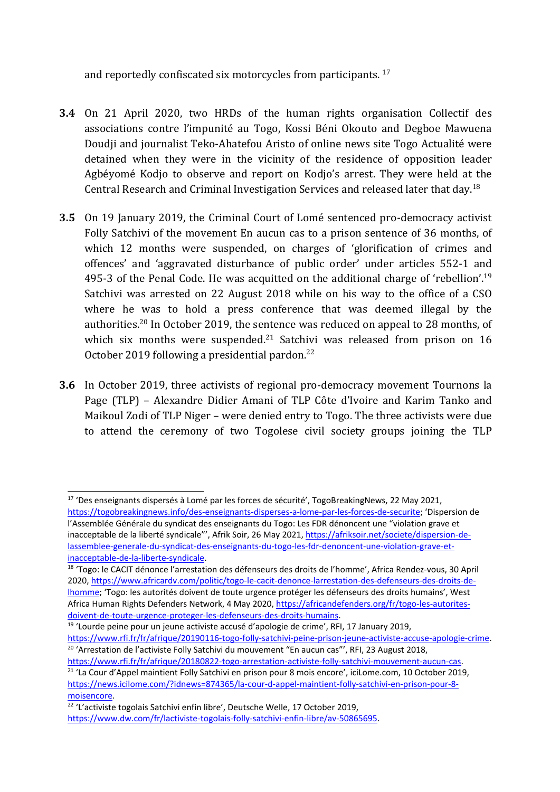and reportedly confiscated six motorcycles from participants. 17

- **3.4** On 21 April 2020, two HRDs of the human rights organisation Collectif des associations contre l'impunité au Togo, Kossi Béni Okouto and Degboe Mawuena Doudji and journalist Teko-Ahatefou Aristo of online news site Togo Actualité were detained when they were in the vicinity of the residence of opposition leader Agbéyomé Kodjo to observe and report on Kodjo'<sup>s</sup> arrest. They were held at the Central Research and Criminal Investigation Services and released later that day.<sup>18</sup>
- **3.5** On 19 January 2019, the Criminal Court of Lomé sentenced pro-democracy activist Folly Satchivi of the movement En aucun cas to <sup>a</sup> prison sentence of 36 months, of which 12 months were suspended, on charges of 'glorification of crimes and offences' and 'aggravated disturbance of public order' under articles 552-1 and 495-3 of the Penal Code. He was acquitted on the additional charge of 'rebellion'.<sup>19</sup> Satchivi was arrested on 22 August 2018 while on his way to the office of <sup>a</sup> CSO where he was to hold <sup>a</sup> press conference that was deemed illegal by the authorities.<sup>20</sup> In October 2019, the sentence was reduced on appeal to 28 months, of which six months were suspended.<sup>21</sup> Satchivi was released from prison on 16 October 2019 following <sup>a</sup> presidential pardon. 22
- **3.6** In October 2019, three activists of regional pro-democracy movement Tournons la Page (TLP) – Alexandre Didier Amani of TLP Côte d'Ivoire and Karim Tanko and Maikoul Zodi of TLP Niger – were denied entry to Togo. The three activists were due to attend the ceremony of two Togolese civil society groups joining the TLP

<sup>&</sup>lt;sup>17</sup> 'Des enseignants dispersés à Lomé par les forces de sécurité', TogoBreakingNews, 22 May 2021, [https://togobreakingnews.info/des-enseignants-disperses-a-lome-par-les-forces-de-securite](https://togobreakingnews.info/des-enseignants-disperses-a-lome-par-les-forces-de-securite/); 'Dispersion de l'Assemblée Générale du syndicat des enseignants du Togo: Les FDR dénoncent une "violation grave et inacceptable de la liberté syndicale"', Afrik Soir, 26 May 2021, [https://afriksoir.net/societe/dispersion-de](https://afriksoir.net/societe/dispersion-de-lassemblee-generale-du-syndicat-des-enseignants-du-togo-les-fdr-denoncent-une-violation-grave-et-inacceptable-de-la-liberte-syndicale)[lassemblee-generale-du-syndicat-des-enseignants-du-togo-les-fdr-denoncent-une-violation-grave-et](https://afriksoir.net/societe/dispersion-de-lassemblee-generale-du-syndicat-des-enseignants-du-togo-les-fdr-denoncent-une-violation-grave-et-inacceptable-de-la-liberte-syndicale)[inacceptable-de-la-liberte-syndicale](https://afriksoir.net/societe/dispersion-de-lassemblee-generale-du-syndicat-des-enseignants-du-togo-les-fdr-denoncent-une-violation-grave-et-inacceptable-de-la-liberte-syndicale).

<sup>&</sup>lt;sup>18</sup> 'Togo: le CACIT dénonce l'arrestation des défenseurs des droits de l'homme', Africa Rendez-vous, 30 Apri 2020, [https://www.africardv.com/politic/togo-le-cacit-denonce-larrestation-des-defenseurs-des-droits-de](https://www.africardv.com/politic/togo-le-cacit-denonce-larrestation-des-defenseurs-des-droits-de-lhomme/)[lhomme](https://www.africardv.com/politic/togo-le-cacit-denonce-larrestation-des-defenseurs-des-droits-de-lhomme/); 'Togo: les autorités doivent de toute urgence protéger les défenseurs des droits humains', West Africa Human Rights Defenders Network, 4 May 2020, [https://africandefenders.org/fr/togo-les-autorites](https://africandefenders.org/fr/togo-les-autorites-doivent-de-toute-urgence-proteger-les-defenseurs-des-droits-humains/)[doivent-de-toute-urgence-proteger-les-defenseurs-des-droits-humains](https://africandefenders.org/fr/togo-les-autorites-doivent-de-toute-urgence-proteger-les-defenseurs-des-droits-humains/).

<sup>&</sup>lt;sup>19</sup> 'Lourde peine pour un jeune activiste accusé d'apologie de crime', RFI, 17 January 2019, <https://www.rfi.fr/fr/afrique/20190116-togo-folly-satchivi-peine-prison-jeune-activiste-accuse-apologie-crime>. <sup>20</sup> 'Arrestation de l'activiste Folly Satchivi du mouvement "En aucun cas"', RFI, 23 August 2018,

<https://www.rfi.fr/fr/afrique/20180822-togo-arrestation-activiste-folly-satchivi-mouvement-aucun-cas>.

<sup>21</sup> 'La Cour d'Appel maintient Folly Satchivi en prison pour 8 mois encore', iciLome.com, 10 October 2019, [https://news.icilome.com/?idnews=874365/la-cour-d-appel-maintient-folly-satchivi-en-prison-pour-8](https://news.icilome.com/?idnews=874365/la-cour-d-appel-maintient-folly-satchivi-en-prison-pour-8-moisencore) [moisencore](https://news.icilome.com/?idnews=874365/la-cour-d-appel-maintient-folly-satchivi-en-prison-pour-8-moisencore).

<sup>&</sup>lt;sup>22</sup> 'L'activiste togolais Satchivi enfin libre', Deutsche Welle, 17 October 2019, <https://www.dw.com/fr/lactiviste-togolais-folly-satchivi-enfin-libre/av-50865695>.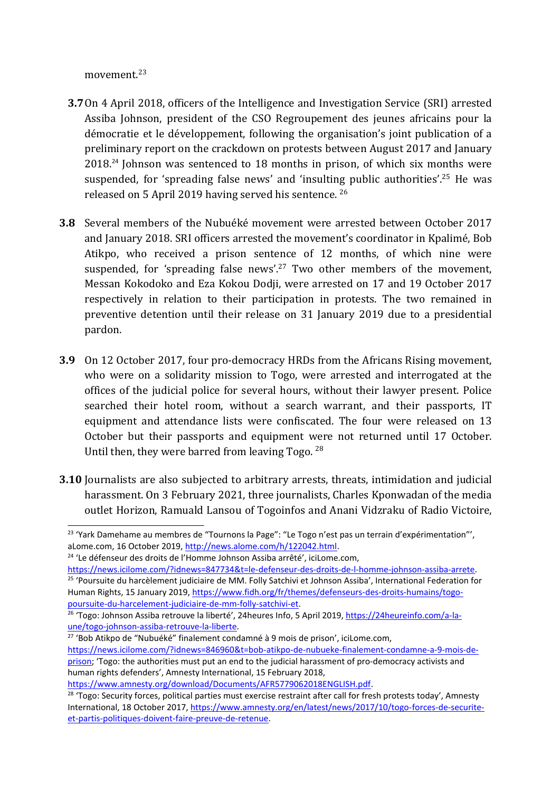movement.<sup>23</sup>

- **3.7**On 4 April 2018, officers of the Intelligence and Investigation Service (SRI) arrested Assiba Johnson, president of the CSO Regroupement des jeunes africains pour la démocratie et le développement, following the organisation'<sup>s</sup> joint publication of <sup>a</sup> preliminary report on the crackdown on protests between August 2017 and January 2018.<sup>24</sup> Johnson was sentenced to 18 months in prison, of which six months were suspended, for 'spreading false news' and 'insulting public authorities'.<sup>25</sup> He was released on 5 April 2019 having served his sentence.  $^{26}$
- **3.8** Several members of the Nubuéké movement were arrested between October 2017 and January 2018. SRI officers arrested the movement'<sup>s</sup> coordinator in Kpalimé, Bob Atikpo, who received <sup>a</sup> prison sentence of 12 months, of which nine were suspended, for 'spreading false news'.<sup>27</sup> Two other members of the movement, Messan Kokodoko and Eza Kokou Dodji, were arrested on 17 and 19 October 2017 respectively in relation to their participation in protests. The two remained in preventive detention until their release on 31 January 2019 due to <sup>a</sup> presidential pardon.
- **3.9** On 12 October 2017, four pro-democracy HRDs from the Africans Rising movement, who were on <sup>a</sup> solidarity mission to Togo, were arrested and interrogated at the offices of the judicial police for several hours, without their lawyer present. Police searched their hotel room, without <sup>a</sup> search warrant, and their passports, IT equipment and attendance lists were confiscated. The four were released on 13 October but their passports and equipment were not returned until 17 October. Until then, they were barred from leaving Togo.  $^{28}$
- **3.10** Journalists are also subjected to arbitrary arrests, threats, intimidation and judicial harassment. On 3 February 2021, three journalists, Charles Kponwadan of the media outlet Horizon, Ramuald Lansou of Togoinfos and Anani Vidzraku of Radio Victoire,

<sup>24</sup> 'Le défenseur des droits de l'Homme Johnson Assiba arrêté', iciLome.com,

<sup>27</sup> 'Bob Atikpo de "Nubuéké" finalement condamné à 9 mois de prison', iciLome.com,

<sup>23</sup> 'Yark Damehame au membres de "Tournons la Page": "Le Togo <sup>n</sup>'est pas un terrain d'expérimentation"', aLome.com, 16 October 2019, <http://news.alome.com/h/122042.html>.

<https://news.icilome.com/?idnews=847734&t=le-defenseur-des-droits-de-l-homme-johnson-assiba-arrete>. <sup>25</sup> 'Poursuite du harcèlement judiciaire de MM. Folly Satchivi et Johnson Assiba', International Federation for Human Rights, 15 January 2019, [https://www.fidh.org/fr/themes/defenseurs-des-droits-humains/togo](https://www.fidh.org/fr/themes/defenseurs-des-droits-humains/togo-poursuite-du-harcelement-judiciaire-de-mm-folly-satchivi-et)[poursuite-du-harcelement-judiciaire-de-mm-folly-satchivi-et](https://www.fidh.org/fr/themes/defenseurs-des-droits-humains/togo-poursuite-du-harcelement-judiciaire-de-mm-folly-satchivi-et).

<sup>&</sup>lt;sup>26</sup> 'Togo: Johnson Assiba retrouve la liberté', 24heures Info, 5 April 2019, [https://24heureinfo.com/a-la](https://24heureinfo.com/a-la-une/togo-johnson-assiba-retrouve-la-liberte/)[une/togo-johnson-assiba-retrouve-la-liberte](https://24heureinfo.com/a-la-une/togo-johnson-assiba-retrouve-la-liberte/).

[https://news.icilome.com/?idnews=846960&t=bob-atikpo-de-nubueke-finalement-condamne-a-9-mois-de](https://news.icilome.com/?idnews=846960&t=bob-atikpo-de-nubueke-finalement-condamne-a-9-mois-de-prison)[prison](https://news.icilome.com/?idnews=846960&t=bob-atikpo-de-nubueke-finalement-condamne-a-9-mois-de-prison); 'Togo: the authorities must put an end to the judicial harassment of pro-democracy activists and human rights defenders', Amnesty International, 15 February 2018,

<https://www.amnesty.org/download/Documents/AFR5779062018ENGLISH.pdf>.

<sup>&</sup>lt;sup>28</sup> 'Togo: Security forces, political parties must exercise restraint after call for fresh protests today', Amnesty International, 18 October 2017, [https://www.amnesty.org/en/latest/news/2017/10/togo-forces-de-securite](https://www.amnesty.org/en/latest/news/2017/10/togo-forces-de-securite-et-partis-politiques-doivent-faire-preuve-de-retenue/)[et-partis-politiques-doivent-faire-preuve-de-retenue](https://www.amnesty.org/en/latest/news/2017/10/togo-forces-de-securite-et-partis-politiques-doivent-faire-preuve-de-retenue/).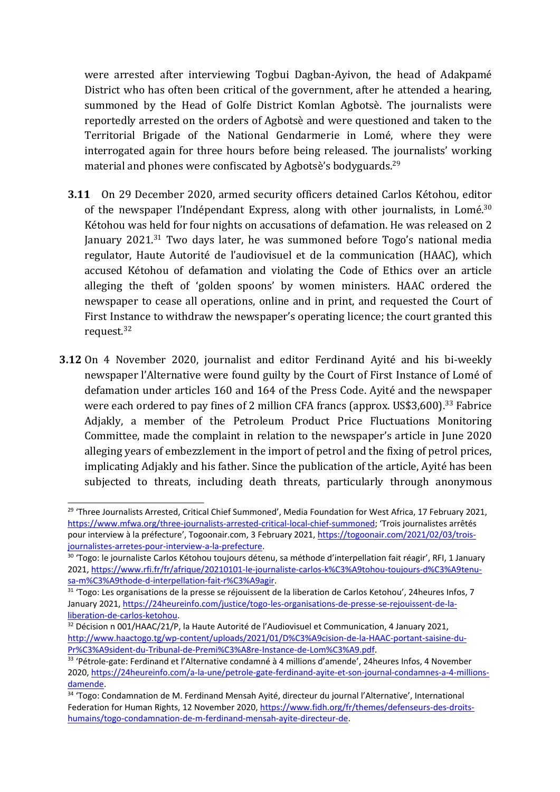were arrested after interviewing Togbui Dagban-Ayivon, the head of Adakpamé District who has often been critical of the government, after he attended <sup>a</sup> hearing, summoned by the Head of Golfe District Komlan Agbotsè. The journalists were reportedly arrested on the orders of Agbotsè and were questioned and taken to the Territorial Brigade of the National Gendarmerie in Lomé, where they were interrogated again for three hours before being released. The journalists' working material and phones were confiscated by Agbotsè'<sup>s</sup> bodyguards. 29

- **3.11** On 29 December 2020, armed security officers detained Carlos Kétohou, editor of the newspaper l'Indépendant Express, along with other journalists, in Lomé. $^{30}$ Kétohou was held for four nights on accusations of defamation. He was released on 2 January 2021.<sup>31</sup> Two days later, he was summoned before Togo's national media regulator, Haute Autorité de l'audiovisuel et de la communication (HAAC), which accused Kétohou of defamation and violating the Code of Ethics over an article alleging the theft of 'golden spoons' by women ministers. HAAC ordered the newspaper to cease all operations, online and in print, and requested the Court of First Instance to withdraw the newspaper'<sup>s</sup> operating licence; the court granted this request.<sup>32</sup>
- **3.12** On 4 November 2020, journalist and editor Ferdinand Ayité and his bi-weekly newspaper l'Alternative were found guilty by the Court of First Instance of Lomé of defamation under articles 160 and 164 of the Press Code. Ayité and the newspaper were each ordered to pay fines of 2 million CFA francs (approx. US\$3,600).<sup>33</sup> Fabrice Adjakly, <sup>a</sup> member of the Petroleum Product Price Fluctuations Monitoring Committee, made the complaint in relation to the newspaper'<sup>s</sup> article in June 2020 alleging years of embezzlement in the import of petrol and the fixing of petrol prices, implicating Adjakly and his father. Since the publication of the article, Ayité has been subjected to threats, including death threats, particularly through anonymous

<sup>&</sup>lt;sup>29</sup> 'Three Journalists Arrested, Critical Chief Summoned', Media Foundation for West Africa, 17 February 2021, [https://www.mfwa.org/three-journalists-arrested-critical-local-chief-summoned](https://www.mfwa.org/three-journalists-arrested-critical-local-chief-summoned/); 'Trois journalistes arrêtés pour interview à la préfecture', Togoonair.com, 3 February 2021, [https://togoonair.com/2021/02/03/trois](https://togoonair.com/2021/02/03/trois-journalistes-arretes-pour-interview-a-la-prefecture/)[journalistes-arretes-pour-interview-a-la-prefecture](https://togoonair.com/2021/02/03/trois-journalistes-arretes-pour-interview-a-la-prefecture/).

<sup>&</sup>lt;sup>30</sup> 'Togo: le journaliste Carlos Kétohou toujours détenu, sa méthode d'interpellation fait réagir', RFI, 1 January 2021, [https://www.rfi.fr/fr/afrique/20210101-le-journaliste-carlos-k%C3%A9tohou-toujours-d%C3%A9tenu](https://www.rfi.fr/fr/afrique/20210101-le-journaliste-carlos-k%C3%A9tohou-toujours-d%C3%A9tenu-sa-m%C3%A9thode-d-interpellation-fait-r%C3%A9agir)[sa-m%C3%A9thode-d-interpellation-fait-r%C3%A9agir](https://www.rfi.fr/fr/afrique/20210101-le-journaliste-carlos-k%C3%A9tohou-toujours-d%C3%A9tenu-sa-m%C3%A9thode-d-interpellation-fait-r%C3%A9agir).

<sup>&</sup>lt;sup>31</sup> 'Togo: Les organisations de la presse se réjouissent de la liberation de Carlos Ketohou', 24heures Infos, 7 January 2021, [https://24heureinfo.com/justice/togo-les-organisations-de-presse-se-rejouissent-de-la](https://24heureinfo.com/justice/togo-les-organisations-de-presse-se-rejouissent-de-la-liberation-de-carlos-ketohou/)[liberation-de-carlos-ketohou](https://24heureinfo.com/justice/togo-les-organisations-de-presse-se-rejouissent-de-la-liberation-de-carlos-ketohou/).

 $32$  Décision n 001/HAAC/21/P, la Haute Autorité de l'Audiovisuel et Communication, 4 January 2021, [http://www.haactogo.tg/wp-content/uploads/2021/01/D%C3%A9cision-de-la-HAAC-portant-saisine-du-](http://www.haactogo.tg/wp-content/uploads/2021/01/D%C3%A9cision-de-la-HAAC-portant-saisine-du-Pr%C3%A9sident-du-Tribunal-de-Premi%C3%A8re-Instance-de-Lom%C3%A9.pdf)[Pr%C3%A9sident-du-Tribunal-de-Premi%C3%A8re-Instance-de-Lom%C3%A9.pdf](http://www.haactogo.tg/wp-content/uploads/2021/01/D%C3%A9cision-de-la-HAAC-portant-saisine-du-Pr%C3%A9sident-du-Tribunal-de-Premi%C3%A8re-Instance-de-Lom%C3%A9.pdf).

<sup>&</sup>lt;sup>33</sup> 'Pétrole-gate: Ferdinand et l'Alternative condamné à 4 millions d'amende', 24heures Infos, 4 November 2020, [https://24heureinfo.com/a-la-une/petrole-gate-ferdinand-ayite-et-son-journal-condamnes-a-4-millions](https://24heureinfo.com/a-la-une/petrole-gate-ferdinand-ayite-et-son-journal-condamnes-a-4-millions-damende/)[damende](https://24heureinfo.com/a-la-une/petrole-gate-ferdinand-ayite-et-son-journal-condamnes-a-4-millions-damende/).

<sup>&</sup>lt;sup>34</sup> 'Togo: Condamnation de M. Ferdinand Mensah Ayité, directeur du journal l'Alternative', International Federation for Human Rights, 12 November 2020, [https://www.fidh.org/fr/themes/defenseurs-des-droits](https://www.fidh.org/fr/themes/defenseurs-des-droits-humains/togo-condamnation-de-m-ferdinand-mensah-ayite-directeur-de)[humains/togo-condamnation-de-m-ferdinand-mensah-ayite-directeur-de](https://www.fidh.org/fr/themes/defenseurs-des-droits-humains/togo-condamnation-de-m-ferdinand-mensah-ayite-directeur-de).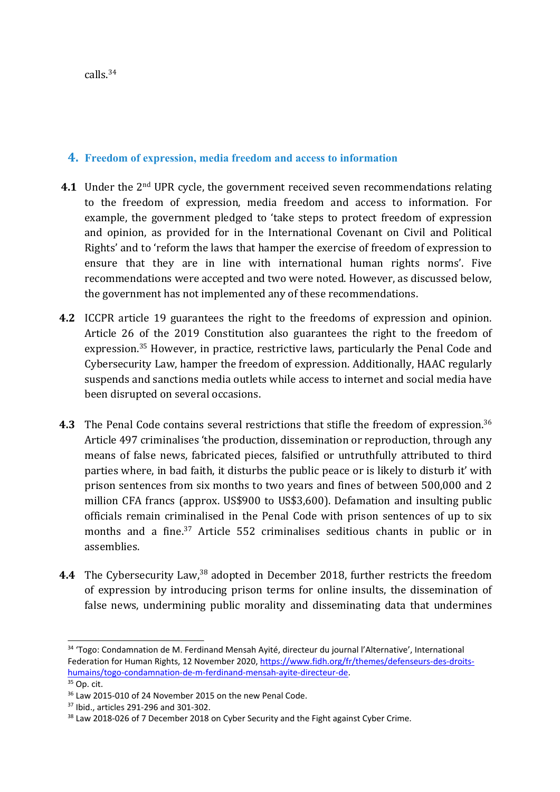### **4. Freedom of expression, media freedom and access to information**

- **4.1** Under the 2nd UPR cycle, the governmen<sup>t</sup> received seven recommendations relating to the freedom of expression, media freedom and access to information. For example, the governmen<sup>t</sup> pledged to 'take steps to protect freedom of expression and opinion, as provided for in the International Covenant on Civil and Political Rights' and to 'reform the laws that hamper the exercise of freedom of expression to ensure that they are in line with international human rights norms'. Five recommendations were accepted and two were noted. However, as discussed below, the governmen<sup>t</sup> has not implemented any of these recommendations.
- **4.2** ICCPR article 19 guarantees the right to the freedoms of expression and opinion. Article 26 of the 2019 Constitution also guarantees the right to the freedom of expression. <sup>35</sup> However, in practice, restrictive laws, particularly the Penal Code and Cybersecurity Law, hamper the freedom of expression. Additionally, HAAC regularly suspends and sanctions media outlets while access to internet and social media have been disrupted on several occasions.
- **4.3** The Penal Code contains several restrictions that stifle the freedom of expression. 36 Article 497 criminalises 'the production, dissemination or reproduction, through any means of false news, fabricated pieces, falsified or untruthfully attributed to third parties where, in bad faith, it disturbs the public peace or is likely to disturb it' with prison sentences from six months to two years and fines of between 500,000 and 2 million CFA francs (approx. US\$900 to US\$3,600). Defamation and insulting public officials remain criminalised in the Penal Code with prison sentences of up to six months and <sup>a</sup> fine. 37 Article 552 criminalises seditious chants in public or in assemblies.
- **4.4** The Cybersecurity Law,<sup>38</sup> adopted in December 2018, further restricts the freedom of expression by introducing prison terms for online insults, the dissemination of false news, undermining public morality and disseminating data that undermines

<sup>34</sup> 'Togo: Condamnation de M. Ferdinand Mensah Ayité, directeur du journal l'Alternative', International Federation for Human Rights, 12 November 2020, [https://www.fidh.org/fr/themes/defenseurs-des-droits](https://www.fidh.org/fr/themes/defenseurs-des-droits-humains/togo-condamnation-de-m-ferdinand-mensah-ayite-directeur-de)[humains/togo-condamnation-de-m-ferdinand-mensah-ayite-directeur-de](https://www.fidh.org/fr/themes/defenseurs-des-droits-humains/togo-condamnation-de-m-ferdinand-mensah-ayite-directeur-de).

<sup>&</sup>lt;sup>35</sup> Op. cit.

<sup>&</sup>lt;sup>36</sup> Law 2015-010 of 24 November 2015 on the new Penal Code.

<sup>37</sup> Ibid., articles 291-296 and 301-302.

 $38$  Law 2018-026 of 7 December 2018 on Cyber Security and the Fight against Cyber Crime.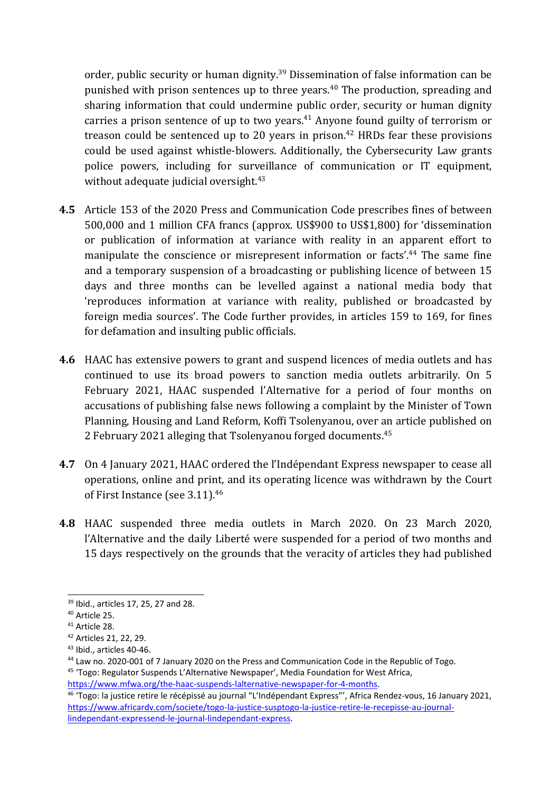order, public security or human dignity.<sup>39</sup> Dissemination of false information can be punished with prison sentences up to three years. 40 The production, spreading and sharing information that could undermine public order, security or human dignity carries <sup>a</sup> prison sentence of up to two years. 41 Anyone found guilty of terrorism or treason could be sentenced up to 20 years in prison.<sup>42</sup> HRDs fear these provisions could be used against whistle-blowers. Additionally, the Cybersecurity Law grants police powers, including for surveillance of communication or IT equipment, without adequate judicial oversight. 43

- **4.5** Article 153 of the 2020 Press and Communication Code prescribes fines of between 500,000 and 1 million CFA francs (approx. US\$900 to US\$1,800) for 'dissemination or publication of information at variance with reality in an apparent effort to manipulate the conscience or misrepresent information or facts'. 44 The same fine and <sup>a</sup> temporary suspension of <sup>a</sup> broadcasting or publishing licence of between 15 days and three months can be levelled against <sup>a</sup> national media body that 'reproduces information at variance with reality, published or broadcasted by foreign media sources'. The Code further provides, in articles 159 to 169, for fines for defamation and insulting public officials.
- **4.6** HAAC has extensive powers to gran<sup>t</sup> and suspend licences of media outlets and has continued to use its broad powers to sanction media outlets arbitrarily. On 5 February 2021, HAAC suspended l'Alternative for <sup>a</sup> period of four months on accusations of publishing false news following <sup>a</sup> complaint by the Minister of Town Planning, Housing and Land Reform, Koffi Tsolenyanou, over an article published on 2 February 2021 alleging that Tsolenyanou forged documents.<sup>45</sup>
- **4.7** On 4 January 2021, HAAC ordered the l'Indépendant Express newspaper to cease all operations, online and print, and its operating licence was withdrawn by the Court of First Instance (see 3.11). $^{46}$
- **4.8** HAAC suspended three media outlets in March 2020. On 23 March 2020, l'Alternative and the daily Liberté were suspended for <sup>a</sup> period of two months and 15 days respectively on the grounds that the veracity of articles they had published

<sup>39</sup> Ibid., articles 17, 25, 27 and 28.

<sup>40</sup> Article 25.

<sup>41</sup> Article 28.

<sup>42</sup> Articles 21, 22, 29.

<sup>43</sup> Ibid., articles 40-46.

<sup>&</sup>lt;sup>44</sup> Law no. 2020-001 of 7 January 2020 on the Press and Communication Code in the Republic of Togo.

<sup>&</sup>lt;sup>45</sup> 'Togo: Regulator Suspends L'Alternative Newspaper', Media Foundation for West Africa, [https://www.mfwa.org/the-haac-suspends-lalternative-newspaper-for-4-months](https://www.mfwa.org/the-haac-suspends-lalternative-newspaper-for-4-months/).

<sup>46</sup> 'Togo: la justice retire le récépissé au journal "L'Indépendant Express"', Africa Rendez-vous, 16 January 2021, [https://www.africardv.com/societe/togo-la-justice-susptogo-la-justice-retire-le-recepisse-au-journal](https://www.africardv.com/societe/togo-la-justice-susptogo-la-justice-retire-le-recepisse-au-journal-lindependant-expressend-le-journal-lindependant-express/)[lindependant-expressend-le-journal-lindependant-express](https://www.africardv.com/societe/togo-la-justice-susptogo-la-justice-retire-le-recepisse-au-journal-lindependant-expressend-le-journal-lindependant-express/).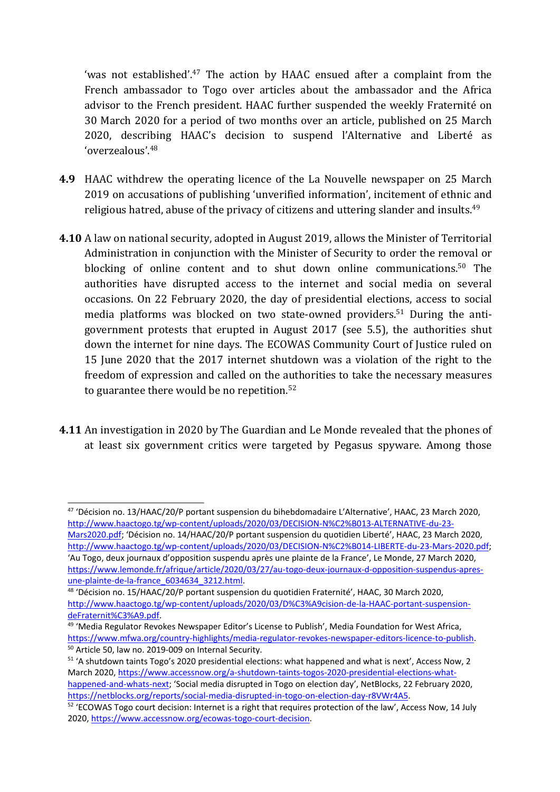'was not established'.<sup>47</sup> The action by HAAC ensued after a complaint from the French ambassador to Togo over articles about the ambassador and the Africa advisor to the French president. HAAC further suspended the weekly Fraternité on 30 March 2020 for <sup>a</sup> period of two months over an article, published on 25 March 2020, describing HAAC'<sup>s</sup> decision to suspend l'Alternative and Liberté as 'overzealous'. 48

- **4.9** HAAC withdrew the operating licence of the La Nouvelle newspaper on 25 March 2019 on accusations of publishing 'unverified information', incitement of ethnic and religious hatred, abuse of the privacy of citizens and uttering slander and insults.<sup>49</sup>
- **4.10** A law on national security, adopted in August 2019, allows the Minister of Territorial Administration in conjunction with the Minister of Security to order the removal or blocking of online content and to shut down online communications.<sup>50</sup> The authorities have disrupted access to the internet and social media on several occasions. On 22 February 2020, the day of presidential elections, access to social media platforms was blocked on two state-owned providers. 51 During the antigovernmen<sup>t</sup> protests that erupted in August 2017 (see 5.5), the authorities shut down the internet for nine days. The ECOWAS Community Court of Justice ruled on 15 June 2020 that the 2017 internet shutdown was <sup>a</sup> violation of the right to the freedom of expression and called on the authorities to take the necessary measures to guarantee there would be no repetition. 52
- **4.11** An investigation in 2020 by The Guardian and Le Monde revealed that the phones of at least six governmen<sup>t</sup> critics were targeted by Pegasus spyware. Among those

[Mars2020.pdf](http://www.haactogo.tg/wp-content/uploads/2020/03/DECISION-N%C2%B013-ALTERNATIVE-du-23-Mars2020.pdf); 'Décision no. 14/HAAC/20/P portant suspension du quotidien Liberté', HAAC, 23 March 2020, <http://www.haactogo.tg/wp-content/uploads/2020/03/DECISION-N%C2%B014-LIBERTE-du-23-Mars-2020.pdf>; 'Au Togo, deux journaux d'opposition suspendu après une plainte de la France', Le Monde, 27 March 2020, [https://www.lemonde.fr/afrique/article/2020/03/27/au-togo-deux-journaux-d-opposition-suspendus-apres](https://www.lemonde.fr/afrique/article/2020/03/27/au-togo-deux-journaux-d-opposition-suspendus-apres-une-plainte-de-la-france_6034634_3212.html)[une-plainte-de-la-france\\_6034634\\_3212.html](https://www.lemonde.fr/afrique/article/2020/03/27/au-togo-deux-journaux-d-opposition-suspendus-apres-une-plainte-de-la-france_6034634_3212.html).

<sup>&</sup>lt;sup>47</sup> 'Décision no. 13/HAAC/20/P portant suspension du bihebdomadaire L'Alternative', HAAC, 23 March 2020, [http://www.haactogo.tg/wp-content/uploads/2020/03/DECISION-N%C2%B013-ALTERNATIVE-du-23-](http://www.haactogo.tg/wp-content/uploads/2020/03/DECISION-N%C2%B013-ALTERNATIVE-du-23-Mars2020.pdf)

<sup>&</sup>lt;sup>48</sup> 'Décision no. 15/HAAC/20/P portant suspension du quotidien Fraternité', HAAC, 30 March 2020, [http://www.haactogo.tg/wp-content/uploads/2020/03/D%C3%A9cision-de-la-HAAC-portant-suspension](http://www.haactogo.tg/wp-content/uploads/2020/03/D%C3%A9cision-de-la-HAAC-portant-suspension-deFraternit%C3%A9.pdf)[deFraternit%C3%A9.pdf](http://www.haactogo.tg/wp-content/uploads/2020/03/D%C3%A9cision-de-la-HAAC-portant-suspension-deFraternit%C3%A9.pdf).

<sup>&</sup>lt;sup>49</sup> 'Media Regulator Revokes Newspaper Editor's License to Publish', Media Foundation for West Africa, [https://www.mfwa.org/country-highlights/media-regulator-revokes-newspaper-editors-licence-to-publish](https://www.mfwa.org/country-highlights/media-regulator-revokes-newspaper-editors-licence-to-publish/). 50 Article 50, law no. 2019-009 on Internal Security.

<sup>&</sup>lt;sup>51</sup> 'A shutdown taints Togo's 2020 presidential elections: what happened and what is next', Access Now, 2 March 2020, [https://www.accessnow.org/a-shutdown-taints-togos-2020-presidential-elections-what-](https://www.accessnow.org/a-shutdown-taints-togos-2020-presidential-elections-what-happened-and-whats-next/)

[happened-and-whats-next](https://www.accessnow.org/a-shutdown-taints-togos-2020-presidential-elections-what-happened-and-whats-next/); 'Social media disrupted in Togo on election day', NetBlocks, 22 February 2020, <https://netblocks.org/reports/social-media-disrupted-in-togo-on-election-day-r8VWr4A5>.

 $52$  'ECOWAS Togo court decision: Internet is a right that requires protection of the law', Access Now, 14 July 2020, [https://www.accessnow.org/ecowas-togo-court-decision](https://www.accessnow.org/ecowas-togo-court-decision/).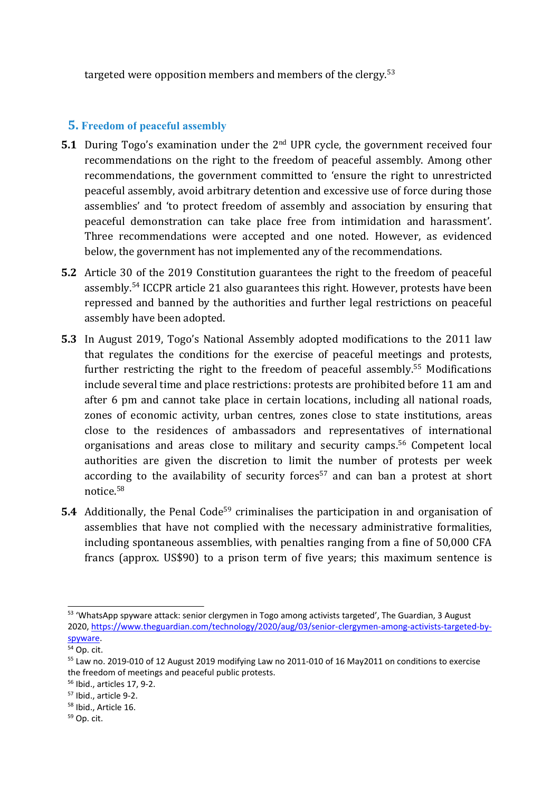targeted were opposition members and members of the clergy. 53

## **5. Freedom of peaceful assembly**

- **5.1** During Togo'<sup>s</sup> examination under the <sup>2</sup>nd UPR cycle, the governmen<sup>t</sup> received four recommendations on the right to the freedom of peaceful assembly. Among other recommendations, the governmen<sup>t</sup> committed to 'ensure the right to unrestricted peaceful assembly, avoid arbitrary detention and excessive use of force during those assemblies' and 'to protect freedom of assembly and association by ensuring that peaceful demonstration can take place free from intimidation and harassment'. Three recommendations were accepted and one noted. However, as evidenced below, the governmen<sup>t</sup> has not implemented any of the recommendations.
- **5.2** Article 30 of the 2019 Constitution guarantees the right to the freedom of peaceful assembly.<sup>54</sup> ICCPR article 21 also guarantees this right. However, protests have been repressed and banned by the authorities and further legal restrictions on peaceful assembly have been adopted.
- **5.3** In August 2019, Togo'<sup>s</sup> National Assembly adopted modifications to the 2011 law that regulates the conditions for the exercise of peaceful meetings and protests, further restricting the right to the freedom of peaceful assembly. <sup>55</sup> Modifications include several time and place restrictions: protests are prohibited before 11 am and after 6 pm and cannot take place in certain locations, including all national roads, zones of economic activity, urban centres, zones close to state institutions, areas close to the residences of ambassadors and representatives of international organisations and areas close to military and security camps.<sup>56</sup> Competent local authorities are given the discretion to limit the number of protests per week according to the availability of security forces 57 and can ban <sup>a</sup> protest at short notice.<sup>58</sup>
- **5.4** Additionally, the Penal Code<sup>59</sup> criminalises the participation in and organisation of assemblies that have not complied with the necessary administrative formalities, including spontaneous assemblies, with penalties ranging from <sup>a</sup> fine of 50,000 CFA francs (approx. US\$90) to <sup>a</sup> prison term of five years; this maximum sentence is

<sup>&</sup>lt;sup>53</sup> 'WhatsApp spyware attack: senior clergymen in Togo among activists targeted', The Guardian, 3 August 2020, [https://www.theguardian.com/technology/2020/aug/03/senior-clergymen-among-activists-targeted-by](https://www.theguardian.com/technology/2020/aug/03/senior-clergymen-among-activists-targeted-by-spyware)[spyware](https://www.theguardian.com/technology/2020/aug/03/senior-clergymen-among-activists-targeted-by-spyware).

<sup>&</sup>lt;sup>54</sup> Op. cit.

<sup>&</sup>lt;sup>55</sup> Law no. 2019-010 of 12 August 2019 modifying Law no 2011-010 of 16 May2011 on conditions to exercise the freedom of meetings and peaceful public protests.

<sup>56</sup> Ibid., articles 17, 9-2.

<sup>57</sup> Ibid., article 9-2.

<sup>58</sup> Ibid., Article 16.

<sup>&</sup>lt;sup>59</sup> Op. cit.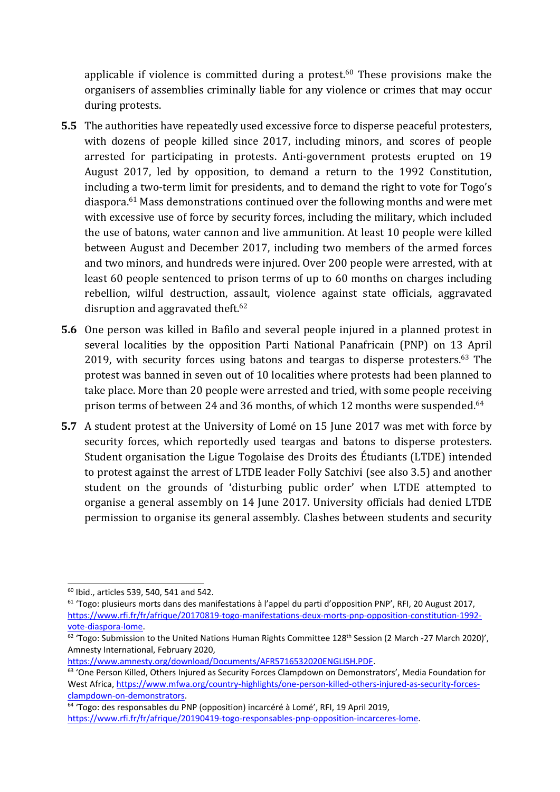applicable if violence is committed during a protest.<sup>60</sup> These provisions make the organisers of assemblies criminally liable for any violence or crimes that may occur during protests.

- **5.5** The authorities have repeatedly used excessive force to disperse peaceful protesters, with dozens of people killed since 2017, including minors, and scores of people arrested for participating in protests. Anti-government protests erupted on 19 August 2017, led by opposition, to demand <sup>a</sup> return to the 1992 Constitution, including <sup>a</sup> two-term limit for presidents, and to demand the right to vote for Togo'<sup>s</sup> diaspora. <sup>61</sup> Mass demonstrations continued over the following months and were met with excessive use of force by security forces, including the military, which included the use of batons, water cannon and live ammunition. At least 10 people were killed between August and December 2017, including two members of the armed forces and two minors, and hundreds were injured. Over 200 people were arrested, with at least 60 people sentenced to prison terms of up to 60 months on charges including rebellion, wilful destruction, assault, violence against state officials, aggravated disruption and aggravated theft.<sup>62</sup>
- **5.6** One person was killed in Bafilo and several people injured in <sup>a</sup> planned protest in several localities by the opposition Parti National Panafricain (PNP) on 13 April 2019, with security forces using batons and teargas to disperse protesters. $^{63}$  The protest was banned in seven out of 10 localities where protests had been planned to take place. More than 20 people were arrested and tried, with some people receiving prison terms of between 24 and 36 months, of which 12 months were suspended.<sup>64</sup>
- **5.7** A student protest at the University of Lomé on 15 June 2017 was met with force by security forces, which reportedly used teargas and batons to disperse protesters. Student organisation the Ligue Togolaise des Droits des Étudiants (LTDE) intended to protest against the arrest of LTDE leader Folly Satchivi (see also 3.5) and another student on the grounds of 'disturbing public order' when LTDE attempted to organise <sup>a</sup> general assembly on 14 June 2017. University officials had denied LTDE permission to organise its general assembly. Clashes between students and security

<https://www.amnesty.org/download/Documents/AFR5716532020ENGLISH.PDF>.

<sup>60</sup> Ibid., articles 539, 540, 541 and 542.

<sup>&</sup>lt;sup>61</sup> 'Togo: plusieurs morts dans des manifestations à l'appel du parti d'opposition PNP', RFI, 20 August 2017, [https://www.rfi.fr/fr/afrique/20170819-togo-manifestations-deux-morts-pnp-opposition-constitution-1992](https://www.rfi.fr/fr/afrique/20170819-togo-manifestations-deux-morts-pnp-opposition-constitution-1992-vote-diaspora-lome) [vote-diaspora-lome](https://www.rfi.fr/fr/afrique/20170819-togo-manifestations-deux-morts-pnp-opposition-constitution-1992-vote-diaspora-lome).

<sup>&</sup>lt;sup>62</sup> 'Togo: Submission to the United Nations Human Rights Committee 128<sup>th</sup> Session (2 March -27 March 2020)', Amnesty International, February 2020,

 $^{63}$  'One Person Killed, Others Injured as Security Forces Clampdown on Demonstrators', Media Foundation for West Africa, [https://www.mfwa.org/country-highlights/one-person-killed-others-injured-as-security-forces](https://www.mfwa.org/country-highlights/one-person-killed-others-injured-as-security-forces-clampdown-on-demonstrators/)[clampdown-on-demonstrators](https://www.mfwa.org/country-highlights/one-person-killed-others-injured-as-security-forces-clampdown-on-demonstrators/).

<sup>&</sup>lt;sup>64</sup> 'Togo: des responsables du PNP (opposition) incarcéré à Lomé', RFI, 19 April 2019, <https://www.rfi.fr/fr/afrique/20190419-togo-responsables-pnp-opposition-incarceres-lome>.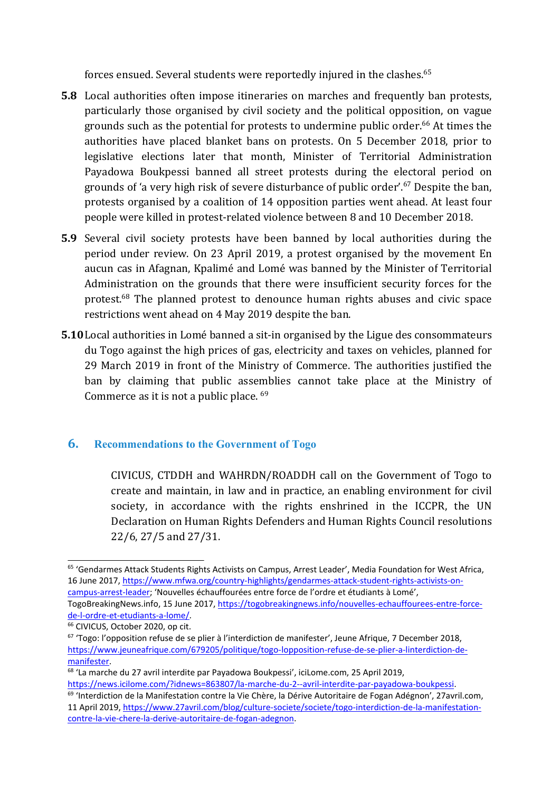forces ensued. Several students were reportedly injured in the clashes. 65

- **5.8** Local authorities often impose itineraries on marches and frequently ban protests, particularly those organised by civil society and the political opposition, on vague grounds such as the potential for protests to undermine public order. 66 At times the authorities have placed blanket bans on protests. On 5 December 2018, prior to legislative elections later that month, Minister of Territorial Administration Payadowa Boukpessi banned all street protests during the electoral period on grounds of '<sup>a</sup> very high risk of severe disturbance of public order'. 67 Despite the ban, protests organised by <sup>a</sup> coalition of 14 opposition parties went ahead. At least four people were killed in protest-related violence between 8 and 10 December 2018.
- **5.9** Several civil society protests have been banned by local authorities during the period under review. On 23 April 2019, <sup>a</sup> protest organised by the movement En aucun cas in Afagnan, Kpalimé and Lomé was banned by the Minister of Territorial Administration on the grounds that there were insufficient security forces for the protest.<sup>68</sup> The planned protest to denounce human rights abuses and civic space restrictions went ahead on 4 May 2019 despite the ban.
- **5.10**Local authorities in Lomé banned <sup>a</sup> sit-in organised by the Ligue des consommateurs du Togo against the high prices of gas, electricity and taxes on vehicles, planned for 29 March 2019 in front of the Ministry of Commerce. The authorities justified the ban by claiming that public assemblies cannot take place at the Ministry of Commerce as it is not a public place.  $^{69}$

#### **6. Recommendations to the Government of Togo**

CIVICUS, CTDDH and WAHRDN/ROADDH call on the Government of Togo to create and maintain, in law and in practice, an enabling environment for civil society, in accordance with the rights enshrined in the ICCPR, the UN Declaration on Human Rights Defenders and Human Rights Council resolutions 22/6, 27/5 and 27/31.

<sup>&</sup>lt;sup>65</sup> 'Gendarmes Attack Students Rights Activists on Campus, Arrest Leader', Media Foundation for West Africa, 16 June 2017, [https://www.mfwa.org/country-highlights/gendarmes-attack-student-rights-activists-on](https://www.mfwa.org/country-highlights/gendarmes-attack-student-rights-activists-on-campus-arrest-leader/)[campus-arrest-leader](https://www.mfwa.org/country-highlights/gendarmes-attack-student-rights-activists-on-campus-arrest-leader/); 'Nouvelles échauffourées entre force de l'ordre et étudiants à Lomé',

TogoBreakingNews.info, 15 June 2017, [https://togobreakingnews.info/nouvelles-echauffourees-entre-force](https://togobreakingnews.info/nouvelles-echauffourees-entre-force-de-l-ordre-et-etudiants-a-lome/)[de-l-ordre-et-etudiants-a-lome/](https://togobreakingnews.info/nouvelles-echauffourees-entre-force-de-l-ordre-et-etudiants-a-lome/).

<sup>&</sup>lt;sup>66</sup> CIVICUS, October 2020, op cit.

<sup>&</sup>lt;sup>67</sup> 'Togo: l'opposition refuse de se plier à l'interdiction de manifester', Jeune Afrique, 7 December 2018, [https://www.jeuneafrique.com/679205/politique/togo-lopposition-refuse-de-se-plier-a-linterdiction-de](https://www.jeuneafrique.com/679205/politique/togo-lopposition-refuse-de-se-plier-a-linterdiction-de-manifester/)[manifester](https://www.jeuneafrique.com/679205/politique/togo-lopposition-refuse-de-se-plier-a-linterdiction-de-manifester/).

<sup>&</sup>lt;sup>68</sup> 'La marche du 27 avril interdite par Payadowa Boukpessi', iciLome.com, 25 April 2019, <https://news.icilome.com/?idnews=863807/la-marche-du-2--avril-interdite-par-payadowa-boukpessi>.

<sup>&</sup>lt;sup>69</sup> 'Interdiction de la Manifestation contre la Vie Chère, la Dérive Autoritaire de Fogan Adégnon', 27avril.com, 11 April 2019, [https://www.27avril.com/blog/culture-societe/societe/togo-interdiction-de-la-manifestation](https://www.27avril.com/blog/culture-societe/societe/togo-interdiction-de-la-manifestation-contre-la-vie-chere-la-derive-autoritaire-de-fogan-adegnon)[contre-la-vie-chere-la-derive-autoritaire-de-fogan-adegnon](https://www.27avril.com/blog/culture-societe/societe/togo-interdiction-de-la-manifestation-contre-la-vie-chere-la-derive-autoritaire-de-fogan-adegnon).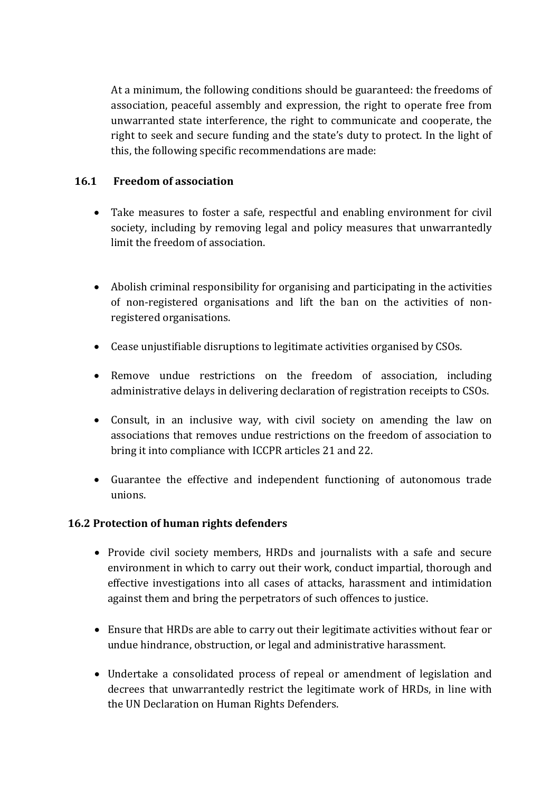At <sup>a</sup> minimum, the following conditions should be guaranteed: the freedoms of association, peaceful assembly and expression, the right to operate free from unwarranted state interference, the right to communicate and cooperate, the right to seek and secure funding and the state'<sup>s</sup> duty to protect. In the light of this, the following specific recommendations are made:

#### **16.1 Freedom of association**

- Take measures to foster <sup>a</sup> safe, respectful and enabling environment for civil society, including by removing legal and policy measures that unwarrantedly limit the freedom of association.
- Abolish criminal responsibility for organising and participating in the activities of non-registered organisations and lift the ban on the activities of nonregistered organisations.
- Cease unjustifiable disruptions to legitimate activities organised by CSOs.
- Remove undue restrictions on the freedom of association, including administrative delays in delivering declaration of registration receipts to CSOs.
- Consult, in an inclusive way, with civil society on amending the law on associations that removes undue restrictions on the freedom of association to bring it into compliance with ICCPR articles 21 and 22.
- Guarantee the effective and independent functioning of autonomous trade unions.

#### **16.2 Protection of human rights defenders**

- Provide civil society members, HRDs and journalists with <sup>a</sup> safe and secure environment in which to carry out their work, conduct impartial, thorough and effective investigations into all cases of attacks, harassment and intimidation against them and bring the perpetrators of such offences to justice.
- Ensure that HRDs are able to carry out their legitimate activities without fear or undue hindrance, obstruction, or legal and administrative harassment.
- Undertake <sup>a</sup> consolidated process of repeal or amendment of legislation and decrees that unwarrantedly restrict the legitimate work of HRDs, in line with the UN Declaration on Human Rights Defenders.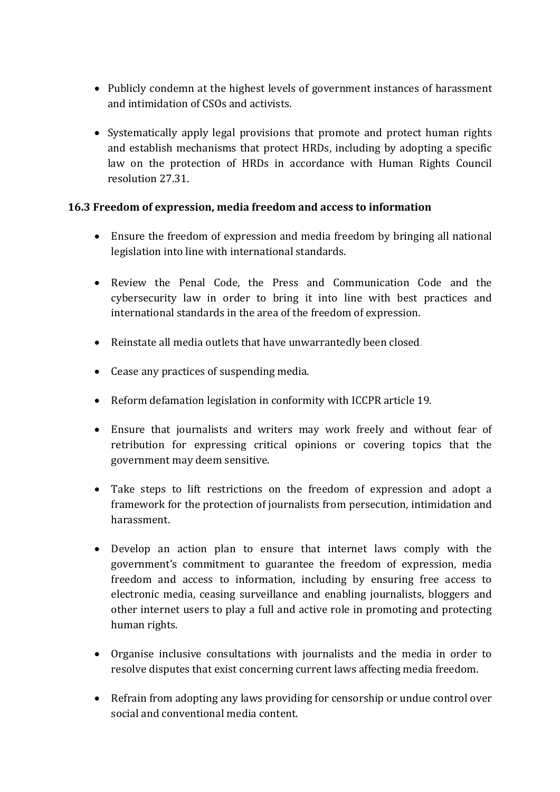- Publicly condemn at the highest levels of governmen<sup>t</sup> instances of harassment and intimidation of CSOs and activists.
- Systematically apply legal provisions that promote and protect human rights and establish mechanisms that protect HRDs, including by adopting <sup>a</sup> specific law on the protection of HRDs in accordance with Human Rights Council resolution 27.31.

#### **16.3 Freedom of expression, media freedom and access to information**

- Ensure the freedom of expression and media freedom by bringing all national legislation into line with international standards.
- Review the Penal Code, the Press and Communication Code and the cybersecurity law in order to bring it into line with best practices and international standards in the area of the freedom of expression.
- Reinstate all media outlets that have unwarrantedly been closed.
- Cease any practices of suspending media.
- Reform defamation legislation in conformity with ICCPR article 19.
- Ensure that journalists and writers may work freely and without fear of retribution for expressing critical opinions or covering topics that the governmen<sup>t</sup> may deem sensitive.
- Take steps to lift restrictions on the freedom of expression and adopt <sup>a</sup> framework for the protection of journalists from persecution, intimidation and harassment.
- Develop an action plan to ensure that internet laws comply with the government'<sup>s</sup> commitment to guarantee the freedom of expression, media freedom and access to information, including by ensuring free access to electronic media, ceasing surveillance and enabling journalists, bloggers and other internet users to play <sup>a</sup> full and active role in promoting and protecting human rights.
- Organise inclusive consultations with journalists and the media in order to resolve disputes that exist concerning current laws affecting media freedom.
- Refrain from adopting any laws providing for censorship or undue control over social and conventional media content.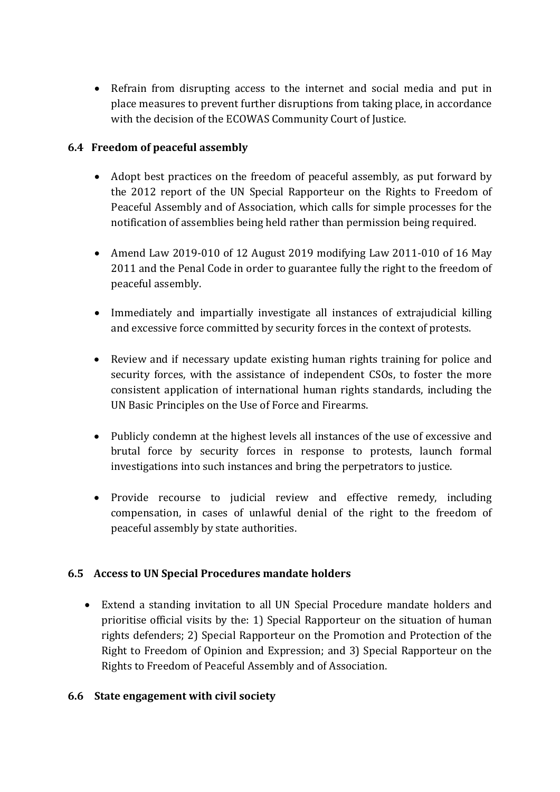Refrain from disrupting access to the internet and social media and put in place measures to prevent further disruptions from taking place, in accordance with the decision of the ECOWAS Community Court of Justice.

### **6.4 Freedom of peaceful assembly**

- Adopt best practices on the freedom of peaceful assembly, as put forward by the 2012 report of the UN Special Rapporteur on the Rights to Freedom of Peaceful Assembly and of Association, which calls for simple processes for the notification of assemblies being held rather than permission being required.
- Amend Law 2019-010 of 12 August 2019 modifying Law 2011-010 of 16 May 2011 and the Penal Code in order to guarantee fully the right to the freedom of peaceful assembly.
- Immediately and impartially investigate all instances of extrajudicial killing and excessive force committed by security forces in the context of protests.
- Review and if necessary update existing human rights training for police and security forces, with the assistance of independent CSOs, to foster the more consistent application of international human rights standards, including the UN Basic Principles on the Use of Force and Firearms.
- Publicly condemn at the highest levels all instances of the use of excessive and brutal force by security forces in response to protests, launch formal investigations into such instances and bring the perpetrators to justice.
- Provide recourse to judicial review and effective remedy, including compensation, in cases of unlawful denial of the right to the freedom of peaceful assembly by state authorities.

#### **6.5 Access to UN Special Procedures mandate holders**

 Extend <sup>a</sup> standing invitation to all UN Special Procedure mandate holders and prioritise official visits by the: 1) Special Rapporteur on the situation of human rights defenders; 2) Special Rapporteur on the Promotion and Protection of the Right to Freedom of Opinion and Expression; and 3) Special Rapporteur on the Rights to Freedom of Peaceful Assembly and of Association.

#### **6.6 State engagement with civil society**